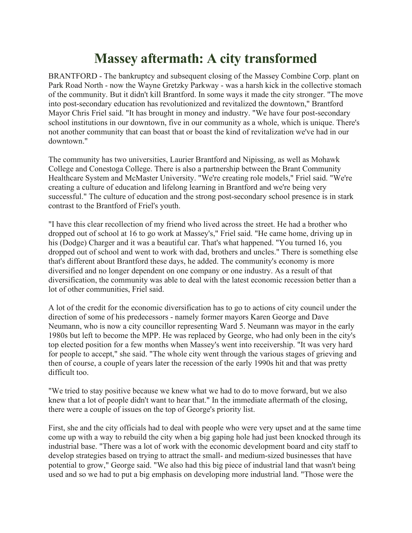## **Massey aftermath: A city transformed**

BRANTFORD - The bankruptcy and subsequent closing of the Massey Combine Corp. plant on Park Road North - now the Wayne Gretzky Parkway - was a harsh kick in the collective stomach of the community. But it didn't kill Brantford. In some ways it made the city stronger. "The move into post-secondary education has revolutionized and revitalized the downtown," Brantford Mayor Chris Friel said. "It has brought in money and industry. "We have four post-secondary school institutions in our downtown, five in our community as a whole, which is unique. There's not another community that can boast that or boast the kind of revitalization we've had in our downtown."

The community has two universities, Laurier Brantford and Nipissing, as well as Mohawk College and Conestoga College. There is also a partnership between the Brant Community Healthcare System and McMaster University. "We're creating role models," Friel said. "We're creating a culture of education and lifelong learning in Brantford and we're being very successful." The culture of education and the strong post-secondary school presence is in stark contrast to the Brantford of Friel's youth.

"I have this clear recollection of my friend who lived across the street. He had a brother who dropped out of school at 16 to go work at Massey's," Friel said. "He came home, driving up in his (Dodge) Charger and it was a beautiful car. That's what happened. "You turned 16, you dropped out of school and went to work with dad, brothers and uncles." There is something else that's different about Brantford these days, he added. The community's economy is more diversified and no longer dependent on one company or one industry. As a result of that diversification, the community was able to deal with the latest economic recession better than a lot of other communities, Friel said.

A lot of the credit for the economic diversification has to go to actions of city council under the direction of some of his predecessors - namely former mayors Karen George and Dave Neumann, who is now a city councillor representing Ward 5. Neumann was mayor in the early 1980s but left to become the MPP. He was replaced by George, who had only been in the city's top elected position for a few months when Massey's went into receivership. "It was very hard for people to accept," she said. "The whole city went through the various stages of grieving and then of course, a couple of years later the recession of the early 1990s hit and that was pretty difficult too.

"We tried to stay positive because we knew what we had to do to move forward, but we also knew that a lot of people didn't want to hear that." In the immediate aftermath of the closing, there were a couple of issues on the top of George's priority list.

First, she and the city officials had to deal with people who were very upset and at the same time come up with a way to rebuild the city when a big gaping hole had just been knocked through its industrial base. "There was a lot of work with the economic development board and city staff to develop strategies based on trying to attract the small- and medium-sized businesses that have potential to grow," George said. "We also had this big piece of industrial land that wasn't being used and so we had to put a big emphasis on developing more industrial land. "Those were the